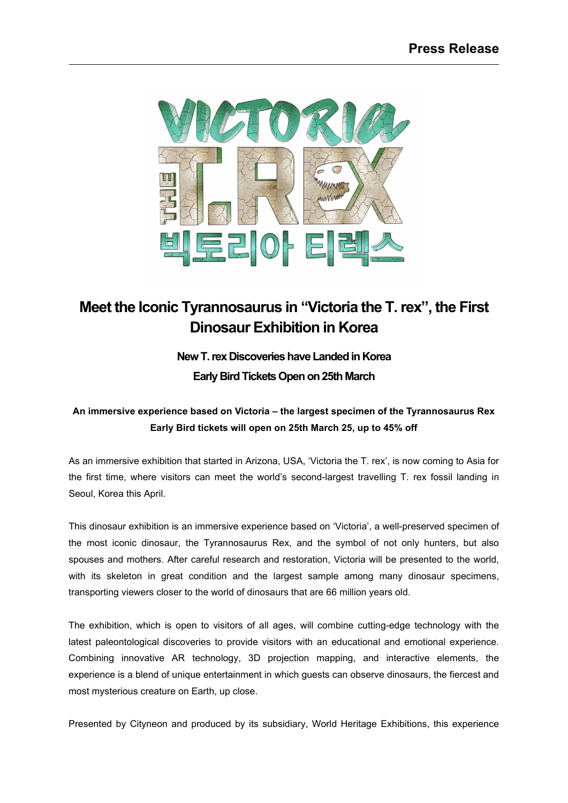

## **Meet the Iconic Tyrannosaurus in "Victoria the T.rex" , the First Dinosaur Exhibition in Korea**

## **New T. rex Discoveries have Landed in Korea Early Bird TicketsOpen on 25th March**

## **An immersive experience based on Victoria – the largest specimen of the Tyrannosaurus Rex Early Bird tickets will open on 25th March 25, up to 45% off**

As an immersive exhibition that started in Arizona, USA, 'Victoria the T. rex', is now coming to Asia for the first time, where visitors can meet the world's second-largest travelling T. rex fossil landing in Seoul, Korea this April.

This dinosaur exhibition is an immersive experience based on 'Victoria', a well-preserved specimen of the most iconic dinosaur, the Tyrannosaurus Rex, and the symbol of not only hunters, but also spouses and mothers. After careful research and restoration, Victoria will be presented to the world, with its skeleton in great condition and the largest sample among many dinosaur specimens, transporting viewers closer to the world of dinosaurs that are 66 million years old.

The exhibition, which is open to visitors of all ages, will combine cutting-edge technology with the latest paleontological discoveries to provide visitors with an educational and emotional experience. Combining innovative AR technology, 3D projection mapping, and interactive elements, the experience is a blend of unique entertainment in which guests can observe dinosaurs, the fiercest and most mysterious creature on Earth, up close.

Presented by Cityneon and produced by its subsidiary, World Heritage Exhibitions, this experience